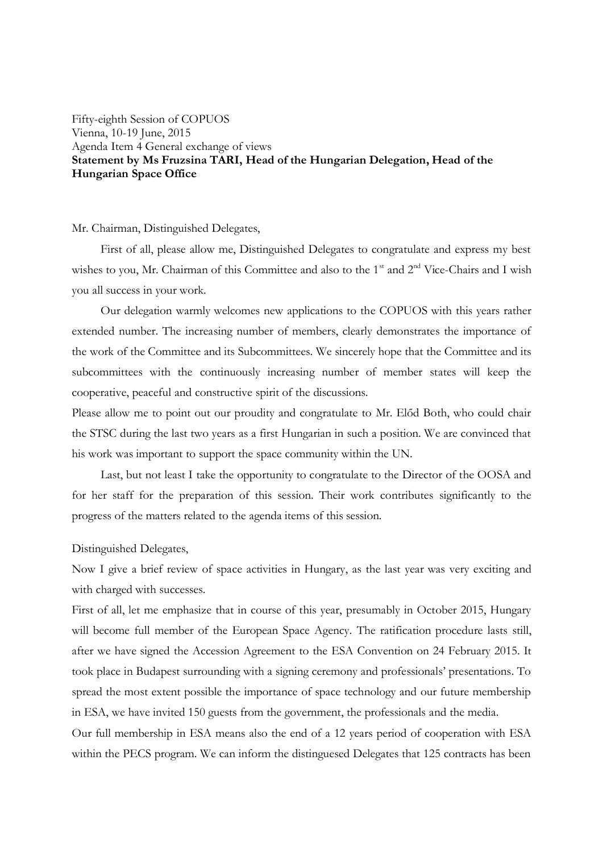Fifty-eighth Session of COPUOS Vienna, 10-19 June, 2015 Agenda Item 4 General exchange of views **Statement by Ms Fruzsina TARI, Head of the Hungarian Delegation, Head of the Hungarian Space Office**

#### Mr. Chairman, Distinguished Delegates,

First of all, please allow me, Distinguished Delegates to congratulate and express my best wishes to you, Mr. Chairman of this Committee and also to the 1<sup>st</sup> and 2<sup>nd</sup> Vice-Chairs and I wish you all success in your work.

Our delegation warmly welcomes new applications to the COPUOS with this years rather extended number. The increasing number of members, clearly demonstrates the importance of the work of the Committee and its Subcommittees. We sincerely hope that the Committee and its subcommittees with the continuously increasing number of member states will keep the cooperative, peaceful and constructive spirit of the discussions.

Please allow me to point out our proudity and congratulate to Mr. Előd Both, who could chair the STSC during the last two years as a first Hungarian in such a position. We are convinced that his work was important to support the space community within the UN.

Last, but not least I take the opportunity to congratulate to the Director of the OOSA and for her staff for the preparation of this session. Their work contributes significantly to the progress of the matters related to the agenda items of this session.

## Distinguished Delegates,

Now I give a brief review of space activities in Hungary, as the last year was very exciting and with charged with successes.

First of all, let me emphasize that in course of this year, presumably in October 2015, Hungary will become full member of the European Space Agency. The ratification procedure lasts still, after we have signed the Accession Agreement to the ESA Convention on 24 February 2015. It took place in Budapest surrounding with a signing ceremony and professionals' presentations. To spread the most extent possible the importance of space technology and our future membership in ESA, we have invited 150 guests from the government, the professionals and the media.

Our full membership in ESA means also the end of a 12 years period of cooperation with ESA within the PECS program. We can inform the distinguesed Delegates that 125 contracts has been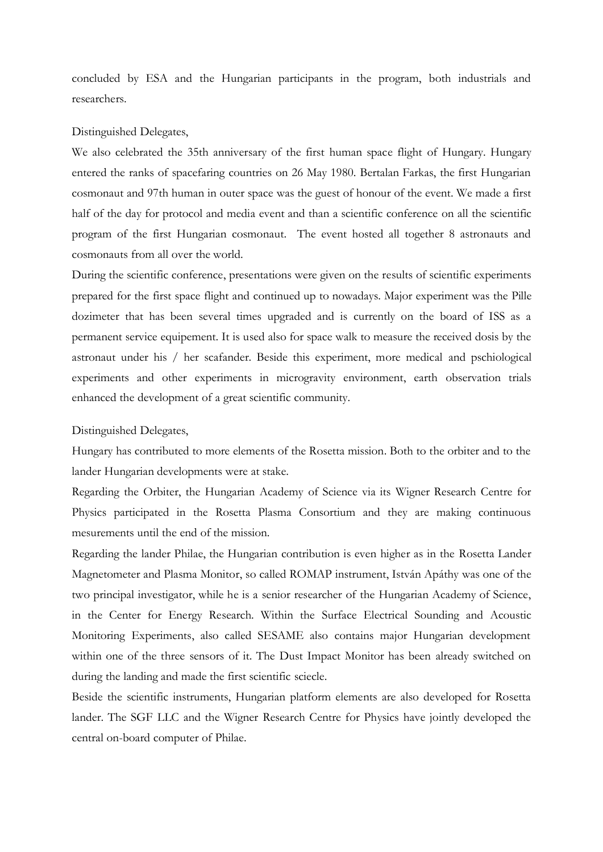concluded by ESA and the Hungarian participants in the program, both industrials and researchers.

### Distinguished Delegates,

We also celebrated the 35th anniversary of the first human space flight of Hungary. Hungary entered the ranks of spacefaring countries on 26 May 1980. Bertalan Farkas, the first Hungarian cosmonaut and 97th human in outer space was the guest of honour of the event. We made a first half of the day for protocol and media event and than a scientific conference on all the scientific program of the first Hungarian cosmonaut. The event hosted all together 8 astronauts and cosmonauts from all over the world.

During the scientific conference, presentations were given on the results of scientific experiments prepared for the first space flight and continued up to nowadays. Major experiment was the Pille dozimeter that has been several times upgraded and is currently on the board of ISS as a permanent service equipement. It is used also for space walk to measure the received dosis by the astronaut under his / her scafander. Beside this experiment, more medical and pschiological experiments and other experiments in microgravity environment, earth observation trials enhanced the development of a great scientific community.

## Distinguished Delegates,

Hungary has contributed to more elements of the Rosetta mission. Both to the orbiter and to the lander Hungarian developments were at stake.

Regarding the Orbiter, the Hungarian Academy of Science via its Wigner Research Centre for Physics participated in the Rosetta Plasma Consortium and they are making continuous mesurements until the end of the mission.

Regarding the lander Philae, the Hungarian contribution is even higher as in the Rosetta Lander Magnetometer and Plasma Monitor, so called ROMAP instrument, István Apáthy was one of the two principal investigator, while he is a senior researcher of the Hungarian Academy of Science, in the Center for Energy Research. Within the Surface Electrical Sounding and Acoustic Monitoring Experiments, also called SESAME also contains major Hungarian development within one of the three sensors of it. The Dust Impact Monitor has been already switched on during the landing and made the first scientific sciecle.

Beside the scientific instruments, Hungarian platform elements are also developed for Rosetta lander. The SGF LLC and the Wigner Research Centre for Physics have jointly developed the central on-board computer of Philae.